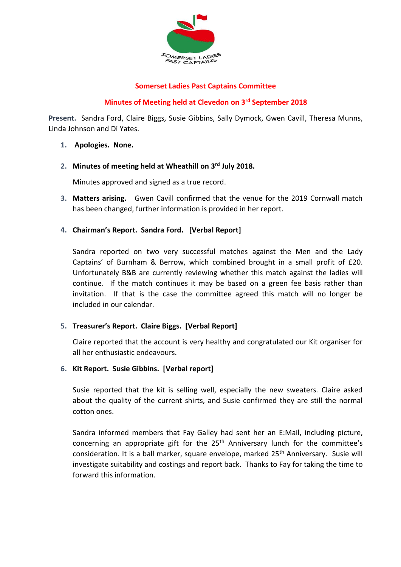

## **Somerset Ladies Past Captains Committee**

## **Minutes of Meeting held at Clevedon on 3rd September 2018**

**Present.** Sandra Ford, Claire Biggs, Susie Gibbins, Sally Dymock, Gwen Cavill, Theresa Munns, Linda Johnson and Di Yates.

- **1. Apologies. None.**
- **2. Minutes of meeting held at Wheathill on 3rd July 2018.**

Minutes approved and signed as a true record.

- **3. Matters arising.** Gwen Cavill confirmed that the venue for the 2019 Cornwall match has been changed, further information is provided in her report.
- **4. Chairman's Report. Sandra Ford. [Verbal Report]**

Sandra reported on two very successful matches against the Men and the Lady Captains' of Burnham & Berrow, which combined brought in a small profit of £20. Unfortunately B&B are currently reviewing whether this match against the ladies will continue. If the match continues it may be based on a green fee basis rather than invitation. If that is the case the committee agreed this match will no longer be included in our calendar.

## **5. Treasurer's Report. Claire Biggs. [Verbal Report]**

Claire reported that the account is very healthy and congratulated our Kit organiser for all her enthusiastic endeavours.

**6. Kit Report. Susie Gibbins. [Verbal report]** 

Susie reported that the kit is selling well, especially the new sweaters. Claire asked about the quality of the current shirts, and Susie confirmed they are still the normal cotton ones.

Sandra informed members that Fay Galley had sent her an E:Mail, including picture, concerning an appropriate gift for the 25<sup>th</sup> Anniversary lunch for the committee's consideration. It is a ball marker, square envelope, marked 25<sup>th</sup> Anniversary. Susie will investigate suitability and costings and report back. Thanks to Fay for taking the time to forward this information.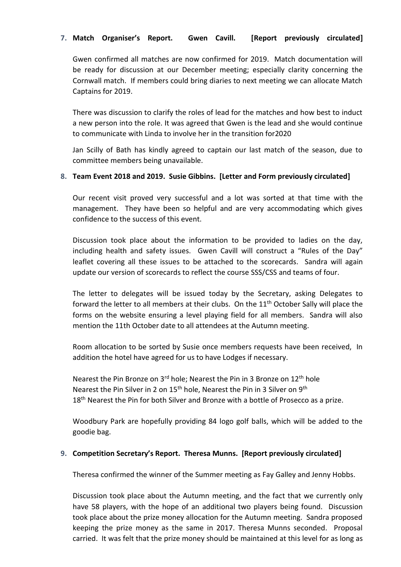# **7. Match Organiser's Report. Gwen Cavill. [Report previously circulated]**

Gwen confirmed all matches are now confirmed for 2019. Match documentation will be ready for discussion at our December meeting; especially clarity concerning the Cornwall match. If members could bring diaries to next meeting we can allocate Match Captains for 2019.

There was discussion to clarify the roles of lead for the matches and how best to induct a new person into the role. It was agreed that Gwen is the lead and she would continue to communicate with Linda to involve her in the transition for2020

Jan Scilly of Bath has kindly agreed to captain our last match of the season, due to committee members being unavailable.

## **8. Team Event 2018 and 2019. Susie Gibbins. [Letter and Form previously circulated]**

Our recent visit proved very successful and a lot was sorted at that time with the management. They have been so helpful and are very accommodating which gives confidence to the success of this event.

Discussion took place about the information to be provided to ladies on the day, including health and safety issues. Gwen Cavill will construct a "Rules of the Day" leaflet covering all these issues to be attached to the scorecards. Sandra will again update our version of scorecards to reflect the course SSS/CSS and teams of four.

The letter to delegates will be issued today by the Secretary, asking Delegates to forward the letter to all members at their clubs. On the 11<sup>th</sup> October Sally will place the forms on the website ensuring a level playing field for all members. Sandra will also mention the 11th October date to all attendees at the Autumn meeting.

Room allocation to be sorted by Susie once members requests have been received, In addition the hotel have agreed for us to have Lodges if necessary.

Nearest the Pin Bronze on  $3^{rd}$  hole; Nearest the Pin in 3 Bronze on  $12^{th}$  hole Nearest the Pin Silver in 2 on 15<sup>th</sup> hole, Nearest the Pin in 3 Silver on 9<sup>th</sup> 18<sup>th</sup> Nearest the Pin for both Silver and Bronze with a bottle of Prosecco as a prize.

Woodbury Park are hopefully providing 84 logo golf balls, which will be added to the goodie bag.

#### **9. Competition Secretary's Report. Theresa Munns. [Report previously circulated]**

Theresa confirmed the winner of the Summer meeting as Fay Galley and Jenny Hobbs.

Discussion took place about the Autumn meeting, and the fact that we currently only have 58 players, with the hope of an additional two players being found. Discussion took place about the prize money allocation for the Autumn meeting. Sandra proposed keeping the prize money as the same in 2017. Theresa Munns seconded. Proposal carried. It was felt that the prize money should be maintained at this level for as long as